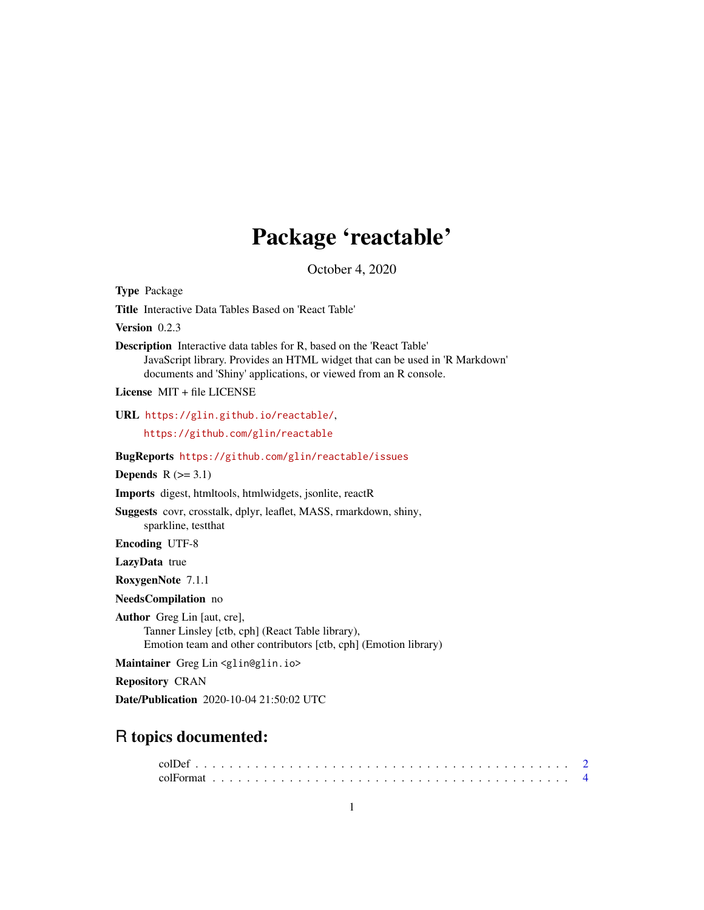# Package 'reactable'

October 4, 2020

<span id="page-0-0"></span>Type Package Title Interactive Data Tables Based on 'React Table' Version 0.2.3 Description Interactive data tables for R, based on the 'React Table' JavaScript library. Provides an HTML widget that can be used in 'R Markdown' documents and 'Shiny' applications, or viewed from an R console. License MIT + file LICENSE URL <https://glin.github.io/reactable/>, <https://github.com/glin/reactable> BugReports <https://github.com/glin/reactable/issues> Depends  $R$  ( $>= 3.1$ ) Imports digest, htmltools, htmlwidgets, jsonlite, reactR Suggests covr, crosstalk, dplyr, leaflet, MASS, rmarkdown, shiny, sparkline, testthat Encoding UTF-8 LazyData true RoxygenNote 7.1.1 NeedsCompilation no Author Greg Lin [aut, cre], Tanner Linsley [ctb, cph] (React Table library), Emotion team and other contributors [ctb, cph] (Emotion library) Maintainer Greg Lin <glin@glin.io> Repository CRAN Date/Publication 2020-10-04 21:50:02 UTC

# R topics documented: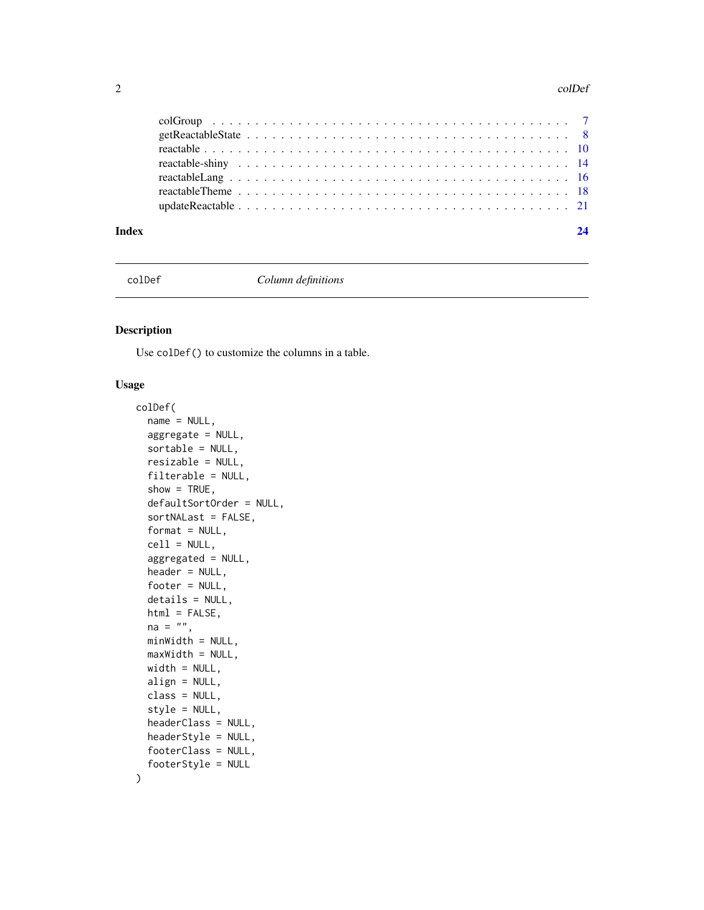#### <span id="page-1-0"></span>2 colDet and  $\alpha$  colDet and  $\alpha$  colDet and  $\alpha$  colDet and  $\alpha$  colDet and  $\alpha$  colDet

| Index | 24 |
|-------|----|

<span id="page-1-1"></span>

colDef *Column definitions*

# Description

Use colDef() to customize the columns in a table.

```
colDef(
  name = NULL,aggregate = NULL,
  sortable = NULL,
  resizable = NULL,
  filterable = NULL,
  show = TRUE,
  defaultSortOrder = NULL,
  sortNALast = FALSE,
  format = NULL,cell = NULL,aggregated = NULL,
  header = NULL,
  footer = NULL,
  details = NULL,
  html = FALSE,
  na = "".minWidth = NULL,
 maxWidth = NULL,width = NULL,
  align = NULL,
  class = NULL,
  style = NULL,
  headerClass = NULL,
  headerStyle = NULL,
  footerClass = NULL,
  footerStyle = NULL
```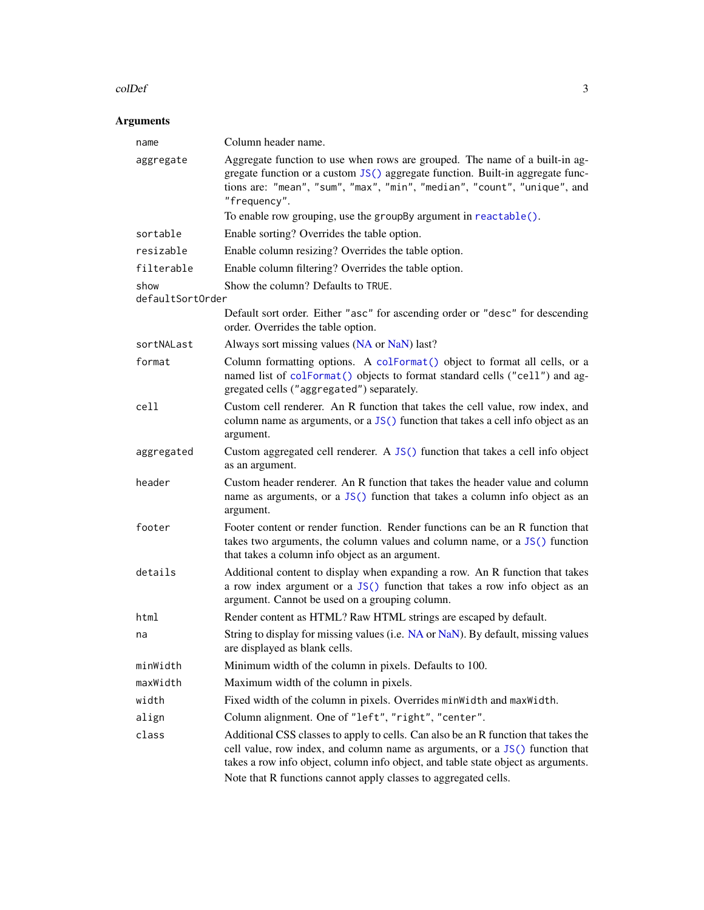#### <span id="page-2-0"></span>colDef 3

# Arguments

| name                     | Column header name.                                                                                                                                                                                                                                                                                                        |
|--------------------------|----------------------------------------------------------------------------------------------------------------------------------------------------------------------------------------------------------------------------------------------------------------------------------------------------------------------------|
| aggregate                | Aggregate function to use when rows are grouped. The name of a built-in ag-<br>gregate function or a custom JS() aggregate function. Built-in aggregate func-<br>tions are: "mean", "sum", "max", "min", "median", "count", "unique", and<br>"frequency".                                                                  |
|                          | To enable row grouping, use the groupBy argument in reactable().                                                                                                                                                                                                                                                           |
| sortable                 | Enable sorting? Overrides the table option.                                                                                                                                                                                                                                                                                |
| resizable                | Enable column resizing? Overrides the table option.                                                                                                                                                                                                                                                                        |
| filterable               | Enable column filtering? Overrides the table option.                                                                                                                                                                                                                                                                       |
| show<br>defaultSortOrder | Show the column? Defaults to TRUE.                                                                                                                                                                                                                                                                                         |
|                          | Default sort order. Either "asc" for ascending order or "desc" for descending<br>order. Overrides the table option.                                                                                                                                                                                                        |
| sortNALast               | Always sort missing values (NA or NaN) last?                                                                                                                                                                                                                                                                               |
| format                   | Column formatting options. A colFormat() object to format all cells, or a<br>named list of colFormat() objects to format standard cells ("cell") and ag-<br>gregated cells ("aggregated") separately.                                                                                                                      |
| cell                     | Custom cell renderer. An R function that takes the cell value, row index, and<br>column name as arguments, or a JS() function that takes a cell info object as an<br>argument.                                                                                                                                             |
| aggregated               | Custom aggregated cell renderer. A JS() function that takes a cell info object<br>as an argument.                                                                                                                                                                                                                          |
| header                   | Custom header renderer. An R function that takes the header value and column<br>name as arguments, or a JS() function that takes a column info object as an<br>argument.                                                                                                                                                   |
| footer                   | Footer content or render function. Render functions can be an R function that<br>takes two arguments, the column values and column name, or a JS() function<br>that takes a column info object as an argument.                                                                                                             |
| details                  | Additional content to display when expanding a row. An R function that takes<br>a row index argument or a JS() function that takes a row info object as an<br>argument. Cannot be used on a grouping column.                                                                                                               |
| html                     | Render content as HTML? Raw HTML strings are escaped by default.                                                                                                                                                                                                                                                           |
| na                       | String to display for missing values (i.e. NA or NaN). By default, missing values<br>are displayed as blank cells.                                                                                                                                                                                                         |
| minWidth                 | Minimum width of the column in pixels. Defaults to 100.                                                                                                                                                                                                                                                                    |
| maxWidth                 | Maximum width of the column in pixels.                                                                                                                                                                                                                                                                                     |
| width                    | Fixed width of the column in pixels. Overrides minWidth and maxWidth.                                                                                                                                                                                                                                                      |
| align                    | Column alignment. One of "left", "right", "center".                                                                                                                                                                                                                                                                        |
| class                    | Additional CSS classes to apply to cells. Can also be an R function that takes the<br>cell value, row index, and column name as arguments, or a JS() function that<br>takes a row info object, column info object, and table state object as arguments.<br>Note that R functions cannot apply classes to aggregated cells. |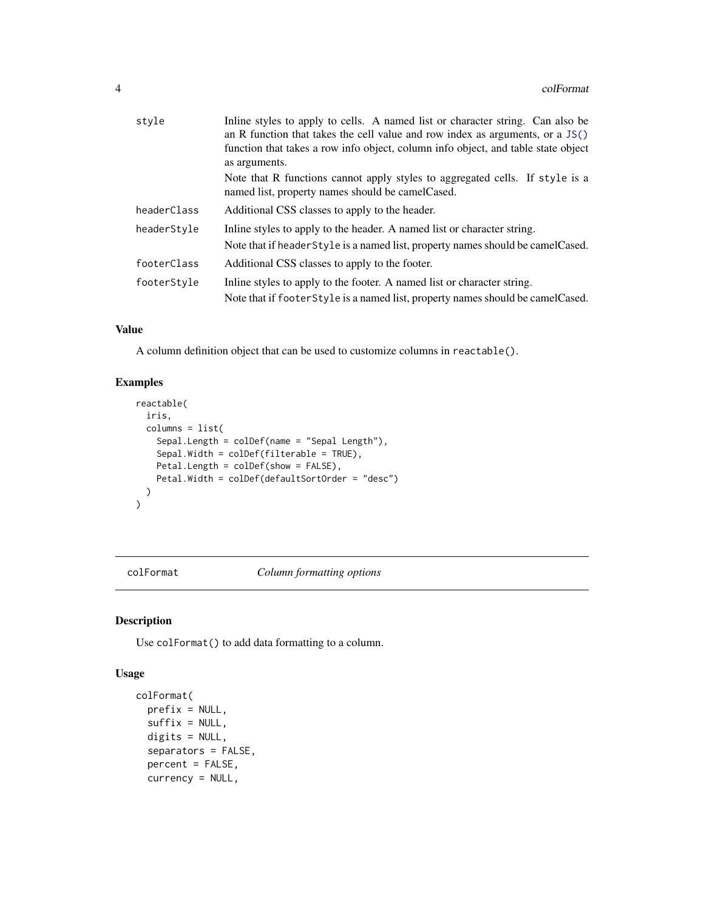<span id="page-3-0"></span>

| style       | Inline styles to apply to cells. A named list or character string. Can also be                                                   |  |  |  |  |  |  |
|-------------|----------------------------------------------------------------------------------------------------------------------------------|--|--|--|--|--|--|
|             | an R function that takes the cell value and row index as arguments, or a $JS()$                                                  |  |  |  |  |  |  |
|             | function that takes a row info object, column info object, and table state object                                                |  |  |  |  |  |  |
|             | as arguments.                                                                                                                    |  |  |  |  |  |  |
|             | Note that R functions cannot apply styles to aggregated cells. If style is a<br>named list, property names should be camelCased. |  |  |  |  |  |  |
| headerClass | Additional CSS classes to apply to the header.                                                                                   |  |  |  |  |  |  |
| headerStyle | In the styles to apply to the header. A named list or character string.                                                          |  |  |  |  |  |  |
|             | Note that if header Style is a named list, property names should be camel Cased.                                                 |  |  |  |  |  |  |
| footerClass | Additional CSS classes to apply to the footer.                                                                                   |  |  |  |  |  |  |
| footerStyle | In the styles to apply to the footer. A named list or character string.                                                          |  |  |  |  |  |  |
|             | Note that if footer Style is a named list, property names should be camel Cased.                                                 |  |  |  |  |  |  |

# Value

A column definition object that can be used to customize columns in reactable().

# Examples

```
reactable(
  iris,
  columns = list(
   Sepal.Length = colDef(name = "Sepal Length"),
   Sepal.Width = colDef(filterable = TRUE),
   Petal.Length = colDef(show = FALSE),
   Petal.Width = colDef(defaultSortOrder = "desc")
 )
)
```
<span id="page-3-1"></span>colFormat *Column formatting options*

# Description

Use colFormat() to add data formatting to a column.

```
colFormat(
 prefix = NULL,suffix = NULL,digits = NULL,
  separators = FALSE,
 percent = FALSE,
  currency = NULL,
```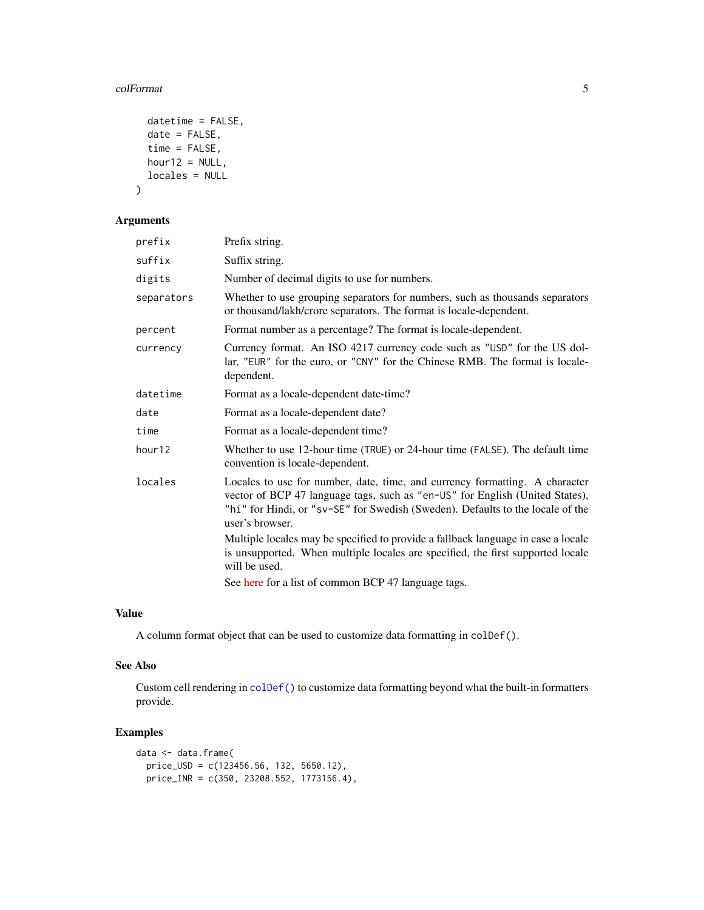#### <span id="page-4-0"></span>colFormat 5

```
datetime = FALSE,
 date = FALSE,
 time = FALSE,
 hour12 = NULL,locales = NULL
)
```
# Arguments

| prefix     | Prefix string.                                                                                                                                                                                                                                                   |
|------------|------------------------------------------------------------------------------------------------------------------------------------------------------------------------------------------------------------------------------------------------------------------|
| suffix     | Suffix string.                                                                                                                                                                                                                                                   |
| digits     | Number of decimal digits to use for numbers.                                                                                                                                                                                                                     |
| separators | Whether to use grouping separators for numbers, such as thousands separators<br>or thousand/lakh/crore separators. The format is locale-dependent.                                                                                                               |
| percent    | Format number as a percentage? The format is locale-dependent.                                                                                                                                                                                                   |
| currency   | Currency format. An ISO 4217 currency code such as "USD" for the US dol-<br>lar, "EUR" for the euro, or "CNY" for the Chinese RMB. The format is locale-<br>dependent.                                                                                           |
| datetime   | Format as a locale-dependent date-time?                                                                                                                                                                                                                          |
| date       | Format as a locale-dependent date?                                                                                                                                                                                                                               |
| time       | Format as a locale-dependent time?                                                                                                                                                                                                                               |
| hour12     | Whether to use 12-hour time (TRUE) or 24-hour time (FALSE). The default time<br>convention is locale-dependent.                                                                                                                                                  |
| locales    | Locales to use for number, date, time, and currency formatting. A character<br>vector of BCP 47 language tags, such as "en-US" for English (United States),<br>"hi" for Hindi, or "sv-SE" for Swedish (Sweden). Defaults to the locale of the<br>user's browser. |
|            | Multiple locales may be specified to provide a fallback language in case a locale<br>is unsupported. When multiple locales are specified, the first supported locale<br>will be used.                                                                            |
|            | See here for a list of common BCP 47 language tags.                                                                                                                                                                                                              |

# Value

A column format object that can be used to customize data formatting in colDef().

# See Also

Custom cell rendering in [colDef\(\)](#page-1-1) to customize data formatting beyond what the built-in formatters provide.

```
data <- data.frame(
  price_USD = c(123456.56, 132, 5650.12),
  price_INR = c(350, 23208.552, 1773156.4),
```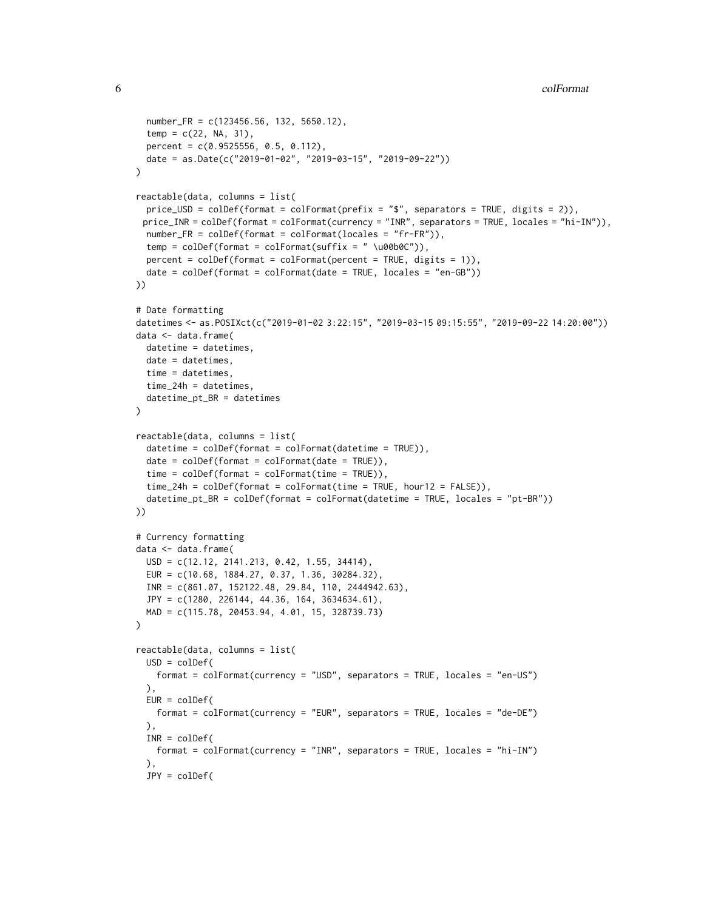```
number_FR = c(123456.56, 132, 5650.12),
  temp = c(22, NA, 31),percent = c(0.9525556, 0.5, 0.112),
  date = as.Date(c("2019-01-02", "2019-03-15", "2019-09-22"))
)
reactable(data, columns = list(
  price_USD = colDef(format = colFormat(prefix = "\frac{4}{3}", separators = TRUE, digits = 2)),
 price_INR = colDef(format = colFormat(currency = "INR", separators = TRUE, locales = "hi-IN")),
 number_FR = colDef(format = colFormat(locales = "fr-FR")),
  temp = colDef(format = colFormat(suffix = " \u00b0C")),
  percent = colDef(fromat = colFormat(percent = TRUE, digits = 1)),date = collect(fromat = colFormat(data = TRUE, locales = "en-GB"))))
# Date formatting
datetimes <- as.POSIXct(c("2019-01-02 3:22:15", "2019-03-15 09:15:55", "2019-09-22 14:20:00"))
data <- data.frame(
  datetime = datetimes,
  date = datetimes,
 time = datetimes,
  time_24h = datetimes,
  datetime_pt_BR = datetimes
\mathcal{L}reactable(data, columns = list(
  datetime = colDef(format = colFormat(datetime = TRUE)),
  date = collect(fromat = colFormat(data = TRUE)),time = colDef(format = colFormat(time = TRUE)),
  time_24h = colDef(format = colFormat(time = TRUE, hour12 = FALSE)),
  datetime_pt_BR = colDef(format = colFormat(datetime = TRUE, locales = "pt-BR"))
))
# Currency formatting
data <- data.frame(
  USD = c(12.12, 2141.213, 0.42, 1.55, 34414),
  EUR = c(10.68, 1884.27, 0.37, 1.36, 30284.32),
  INR = c(861.07, 152122.48, 29.84, 110, 2444942.63),
  JPY = c(1280, 226144, 44.36, 164, 3634634.61),
  MAD = c(115.78, 20453.94, 4.01, 15, 328739.73)
)
reactable(data, columns = list(
  USD = colDef(
   format = colFormat(currency = "USD", separators = TRUE, locales = "en-US")
  ),
  EUR = colDef(format = colFormat(currency = "EUR", separators = TRUE, locales = "de-DE")
  ),
  INR = colDef(format = colFormat(currency = "INR", separators = TRUE, locales = "hi-IN")
  ),
  JPY = colDef(
```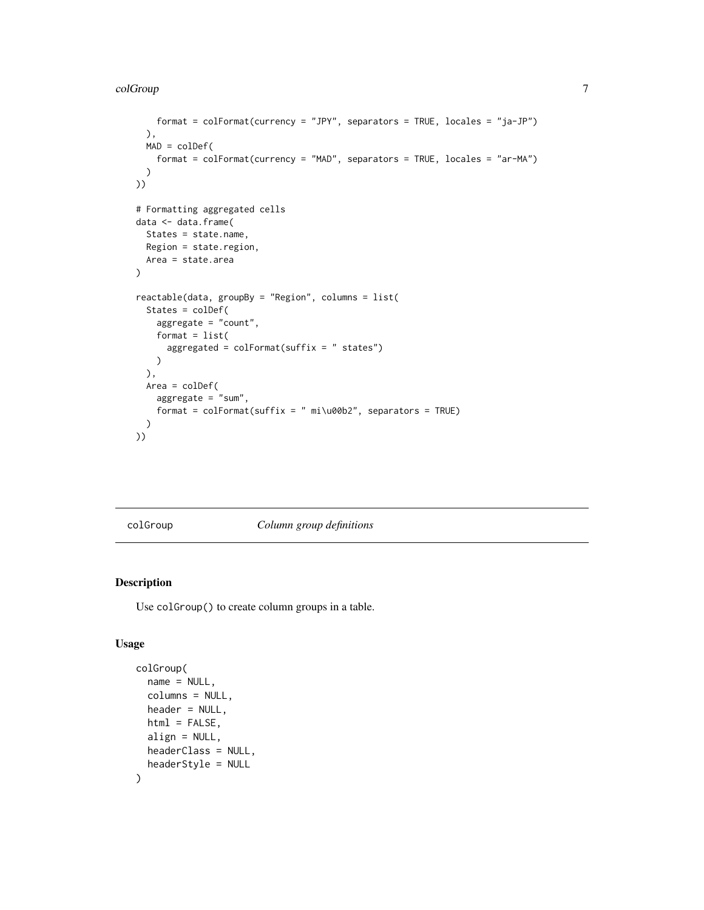```
format = colFormat(currency = "JPY", separators = TRUE, locales = "ja-JP")
  ),
 MAD = colDef(
    format = colFormat(currency = "MAD", separators = TRUE, locales = "ar-MA")
  \lambda))
# Formatting aggregated cells
data <- data.frame(
  States = state.name,
  Region = state.region,
  Area = state.area
)
reactable(data, groupBy = "Region", columns = list(
  States = colDef(
    aggregate = "count",
    format = list(
      aggregated = colFormat(suffix = " states"))
  ),
  Area = colDef(
   aggregate = "sum",
    format = colFormat(suffix = " mi\u00b2", separators = TRUE)
  \mathcal{L}))
```
<span id="page-6-1"></span>colGroup *Column group definitions*

# Description

Use colGroup() to create column groups in a table.

```
colGroup(
 name = NULL,columns = NULL,
 header = NULL,html = FALSE,
 align = NULL,
 headerClass = NULL,
 headerStyle = NULL
)
```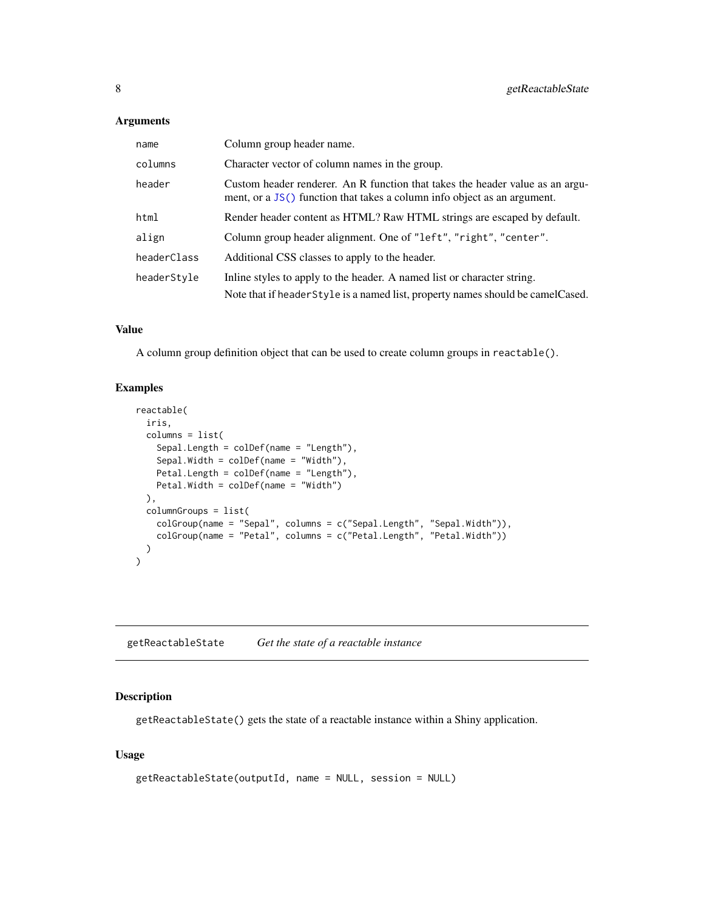# <span id="page-7-0"></span>Arguments

| name        | Column group header name.                                                                                                                                 |  |  |  |
|-------------|-----------------------------------------------------------------------------------------------------------------------------------------------------------|--|--|--|
| columns     | Character vector of column names in the group.                                                                                                            |  |  |  |
| header      | Custom header renderer. An R function that takes the header value as an argu-<br>ment, or a JS() function that takes a column info object as an argument. |  |  |  |
| html        | Render header content as HTML? Raw HTML strings are escaped by default.                                                                                   |  |  |  |
| align       | Column group header alignment. One of "left", "right", "center".                                                                                          |  |  |  |
| headerClass | Additional CSS classes to apply to the header.                                                                                                            |  |  |  |
| headerStyle | Inline styles to apply to the header. A named list or character string.                                                                                   |  |  |  |
|             | Note that if header Style is a named list, property names should be camel Cased.                                                                          |  |  |  |

# Value

A column group definition object that can be used to create column groups in reactable().

# Examples

```
reactable(
  iris,
  columns = list(
    Sepal.Length = colDef(name = "Length"),
    Sepal.Width = colDef(name = "Width"),
    Petal.Length = colDef(name = "Length"),
    Petal.Width = colDef(name = "Width")
  ),
  columnGroups = list(
    colGroup(name = "Sepal", columns = c("Sepal.Length", "Sepal.Width")),
    colGroup(name = "Petal", columns = c("Petal.Length", "Petal.Width"))
  \lambda\mathcal{L}
```
<span id="page-7-1"></span>getReactableState *Get the state of a reactable instance*

# Description

getReactableState() gets the state of a reactable instance within a Shiny application.

```
getReactableState(outputId, name = NULL, session = NULL)
```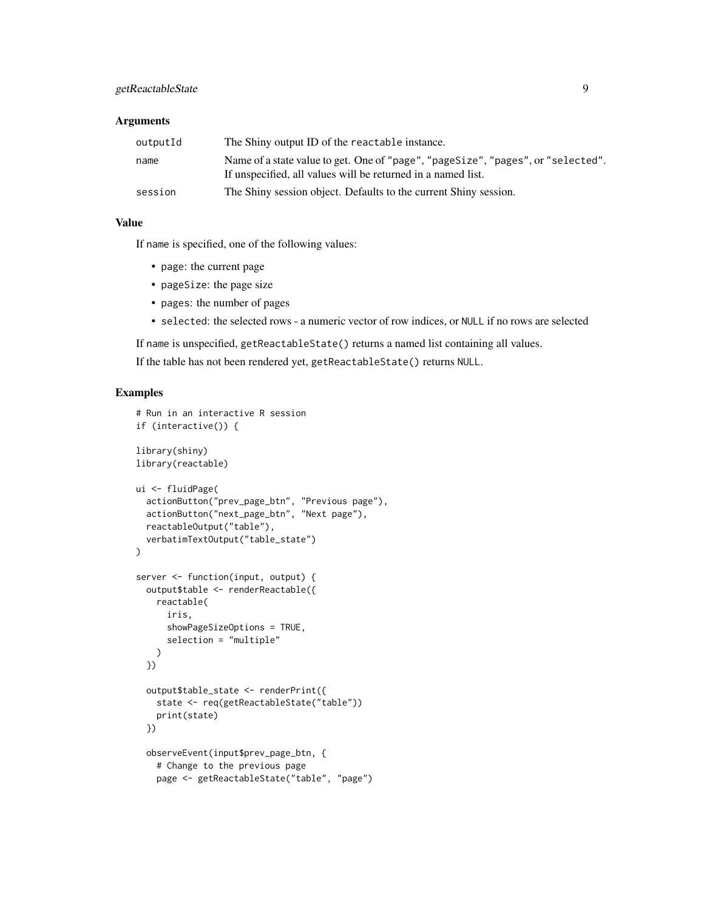# getReactableState 9

#### Arguments

| outputId | The Shiny output ID of the reactable instance.                                                                                                   |
|----------|--------------------------------------------------------------------------------------------------------------------------------------------------|
| name     | Name of a state value to get. One of "page", "pageSize", "pages", or "selected".<br>If unspecified, all values will be returned in a named list. |
| session  | The Shiny session object. Defaults to the current Shiny session.                                                                                 |

# Value

If name is specified, one of the following values:

- page: the current page
- pageSize: the page size
- pages: the number of pages
- selected: the selected rows a numeric vector of row indices, or NULL if no rows are selected

If name is unspecified, getReactableState() returns a named list containing all values.

If the table has not been rendered yet, getReactableState() returns NULL.

```
# Run in an interactive R session
if (interactive()) {
library(shiny)
library(reactable)
ui <- fluidPage(
  actionButton("prev_page_btn", "Previous page"),
  actionButton("next_page_btn", "Next page"),
  reactableOutput("table"),
  verbatimTextOutput("table_state")
)
server <- function(input, output) {
  output$table <- renderReactable({
   reactable(
     iris,
      showPageSizeOptions = TRUE,
      selection = "multiple"
   \lambda})
  output$table_state <- renderPrint({
   state <- req(getReactableState("table"))
    print(state)
  })
  observeEvent(input$prev_page_btn, {
    # Change to the previous page
   page <- getReactableState("table", "page")
```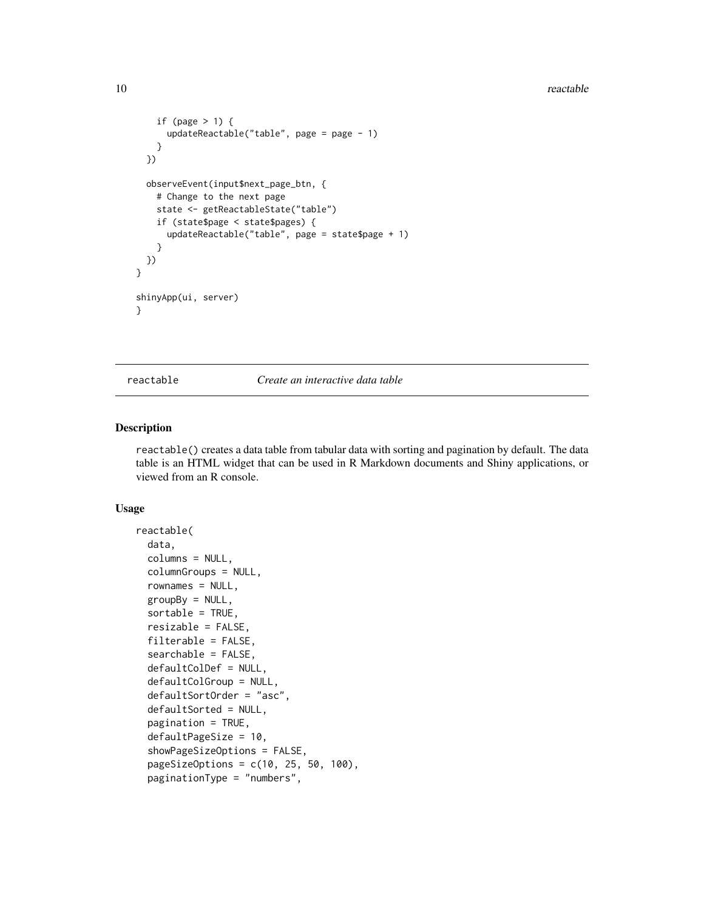#### 10 reactable control of the set of the set of the set of the set of the set of the set of the set of the set of the set of the set of the set of the set of the set of the set of the set of the set of the set of the set of

```
if (page > 1) {
     updateReactable("table", page = page - 1)
   }
 })
 observeEvent(input$next_page_btn, {
   # Change to the next page
    state <- getReactableState("table")
   if (state$page < state$pages) {
     updateReactable("table", page = state$page + 1)
    }
 })
}
shinyApp(ui, server)
}
```
<span id="page-9-1"></span>reactable *Create an interactive data table*

#### Description

reactable() creates a data table from tabular data with sorting and pagination by default. The data table is an HTML widget that can be used in R Markdown documents and Shiny applications, or viewed from an R console.

```
reactable(
  data,
  columns = NULL,
  columnGroups = NULL,
  rownames = NULL,groupBy = NULL,sortable = TRUE,
  resizable = FALSE,
  filterable = FALSE,
  searchable = FALSE,
  defaultColDef = NULL,
  defaultColGroup = NULL,
  defaultSortOrder = "asc",
  defaultSorted = NULL,
  pagination = TRUE,
  defaultPageSize = 10,
  showPageSizeOptions = FALSE,
  pageSizeOptions = c(10, 25, 50, 100),
  paginationType = "numbers",
```
<span id="page-9-0"></span>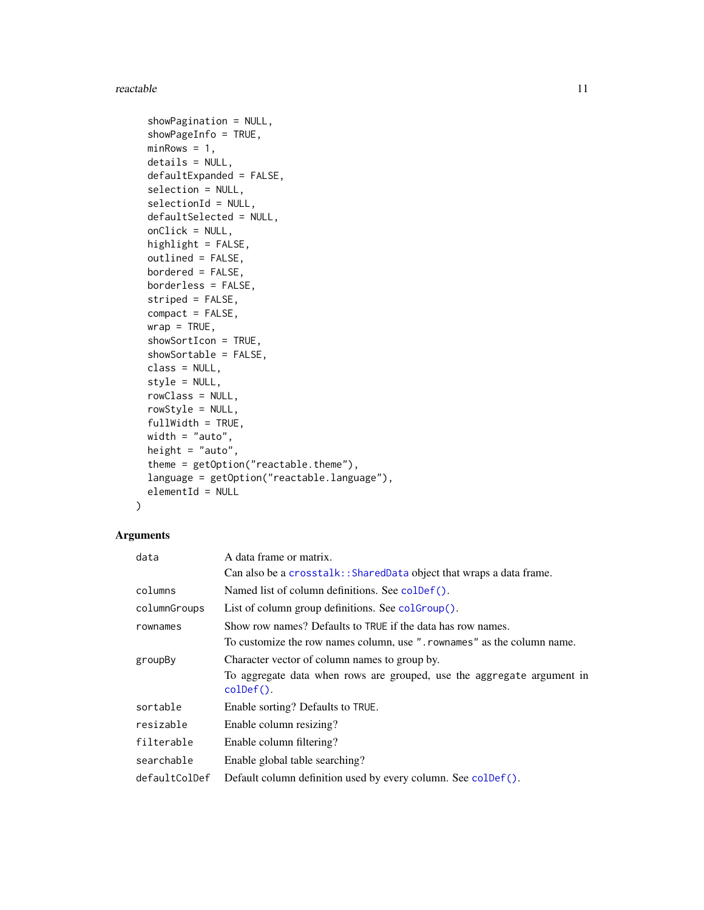#### <span id="page-10-0"></span>reactable the contract of the contract of the contract of the contract of the contract of the contract of the contract of the contract of the contract of the contract of the contract of the contract of the contract of the

```
showPagination = NULL,
  showPageInfo = TRUE,
 minRows = 1,
 details = NULL,
  defaultExpanded = FALSE,
  selection = NULL,
  selectionId = NULL,
  defaultSelected = NULL,
  onClick = NULL,
 highlight = FALSE,
 outlined = FALSE,
 bordered = FALSE,
 borderless = FALSE,
  striped = FALSE,
 compact = FALSE,
 wrap = TRUE,showSortIcon = TRUE,
  showSortable = FALSE,
 class = NULL,
  style = NULL,
  rowClass = NULL,
  rowStyle = NULL,
  fullWidth = TRUE,
 width = "auto",
 height = "auto",theme = getOption("reactable.theme"),
  language = getOption("reactable.language"),
 elementId = NULL\mathcal{L}
```
# Arguments

| data          | A data frame or matrix.                                                                       |
|---------------|-----------------------------------------------------------------------------------------------|
|               | Can also be a crosstalk:: SharedData object that wraps a data frame.                          |
| columns       | Named list of column definitions. See colder ().                                              |
| columnGroups  | List of column group definitions. See coloroup().                                             |
| rownames      | Show row names? Defaults to TRUE if the data has row names.                                   |
|               | To customize the row names column, use ". rownames" as the column name.                       |
| groupBy       | Character vector of column names to group by.                                                 |
|               | To aggregate data when rows are grouped, use the aggregate argument in<br>$\text{colDef}()$ . |
| sortable      | Enable sorting? Defaults to TRUE.                                                             |
| resizable     | Enable column resizing?                                                                       |
| filterable    | Enable column filtering?                                                                      |
| searchable    | Enable global table searching?                                                                |
| defaultColDef | Default column definition used by every column. See coldef().                                 |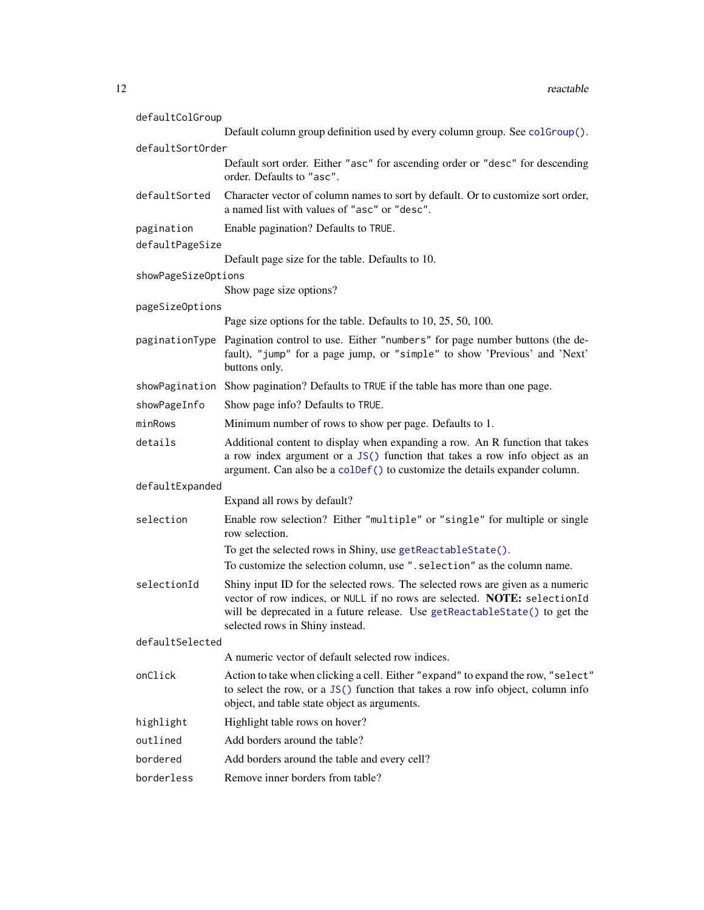<span id="page-11-0"></span>

| defaultColGroup     |                                                                                                                                                                                                                                                                              |
|---------------------|------------------------------------------------------------------------------------------------------------------------------------------------------------------------------------------------------------------------------------------------------------------------------|
|                     | Default column group definition used by every column group. See colGroup().                                                                                                                                                                                                  |
| defaultSortOrder    |                                                                                                                                                                                                                                                                              |
|                     | Default sort order. Either "asc" for ascending order or "desc" for descending<br>order. Defaults to "asc".                                                                                                                                                                   |
| defaultSorted       | Character vector of column names to sort by default. Or to customize sort order,<br>a named list with values of "asc" or "desc".                                                                                                                                             |
| pagination          | Enable pagination? Defaults to TRUE.                                                                                                                                                                                                                                         |
| defaultPageSize     |                                                                                                                                                                                                                                                                              |
|                     | Default page size for the table. Defaults to 10.                                                                                                                                                                                                                             |
| showPageSizeOptions |                                                                                                                                                                                                                                                                              |
|                     | Show page size options?                                                                                                                                                                                                                                                      |
| pageSizeOptions     |                                                                                                                                                                                                                                                                              |
|                     | Page size options for the table. Defaults to 10, 25, 50, 100.                                                                                                                                                                                                                |
|                     | paginationType Pagination control to use. Either "numbers" for page number buttons (the de-<br>fault), "jump" for a page jump, or "simple" to show 'Previous' and 'Next'<br>buttons only.                                                                                    |
|                     | showPagination Show pagination? Defaults to TRUE if the table has more than one page.                                                                                                                                                                                        |
| showPageInfo        | Show page info? Defaults to TRUE.                                                                                                                                                                                                                                            |
| minRows             | Minimum number of rows to show per page. Defaults to 1.                                                                                                                                                                                                                      |
| details             | Additional content to display when expanding a row. An R function that takes<br>a row index argument or a JS() function that takes a row info object as an<br>argument. Can also be a colDef() to customize the details expander column.                                     |
| defaultExpanded     |                                                                                                                                                                                                                                                                              |
|                     | Expand all rows by default?                                                                                                                                                                                                                                                  |
| selection           | Enable row selection? Either "multiple" or "single" for multiple or single<br>row selection.                                                                                                                                                                                 |
|                     | To get the selected rows in Shiny, use getReactableState().                                                                                                                                                                                                                  |
|                     | To customize the selection column, use ". selection" as the column name.                                                                                                                                                                                                     |
| selectionId         | Shiny input ID for the selected rows. The selected rows are given as a numeric<br>vector of row indices, or NULL if no rows are selected. NOTE: selectionId<br>will be deprecated in a future release. Use getReactableState() to get the<br>selected rows in Shiny instead. |
| defaultSelected     |                                                                                                                                                                                                                                                                              |
|                     | A numeric vector of default selected row indices.                                                                                                                                                                                                                            |
| onClick             | Action to take when clicking a cell. Either "expand" to expand the row, "select"<br>to select the row, or a JS() function that takes a row info object, column info<br>object, and table state object as arguments.                                                          |
| highlight           | Highlight table rows on hover?                                                                                                                                                                                                                                               |
| outlined            | Add borders around the table?                                                                                                                                                                                                                                                |
| bordered            | Add borders around the table and every cell?                                                                                                                                                                                                                                 |
| borderless          | Remove inner borders from table?                                                                                                                                                                                                                                             |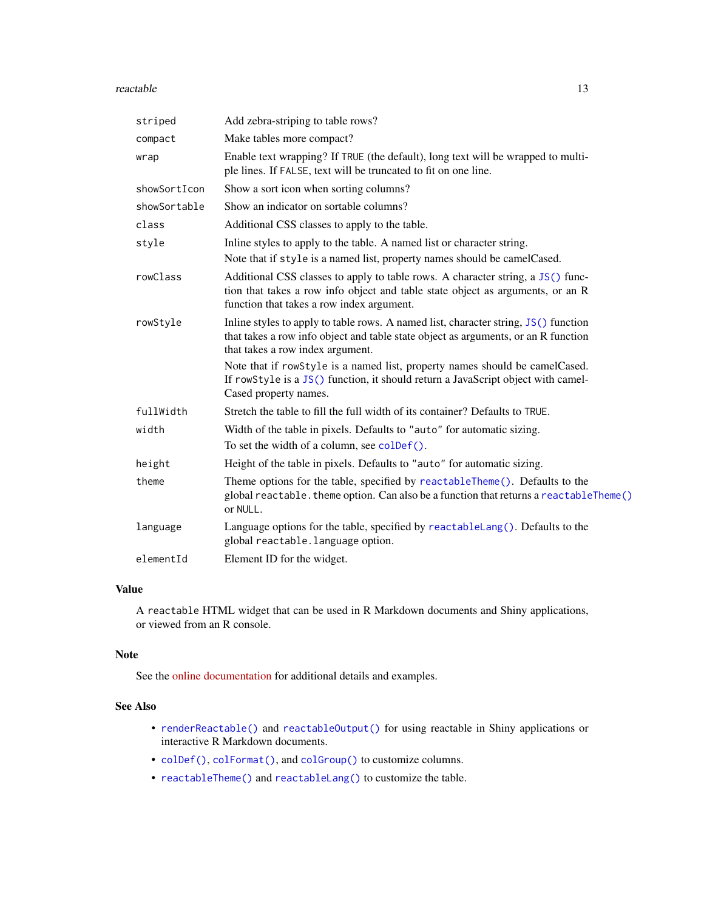#### <span id="page-12-0"></span>reactable the contract of the contract of the contract of the contract of the contract of the contract of the contract of the contract of the contract of the contract of the contract of the contract of the contract of the

| striped      | Add zebra-striping to table rows?                                                                                                                                                                              |
|--------------|----------------------------------------------------------------------------------------------------------------------------------------------------------------------------------------------------------------|
| compact      | Make tables more compact?                                                                                                                                                                                      |
| wrap         | Enable text wrapping? If TRUE (the default), long text will be wrapped to multi-<br>ple lines. If FALSE, text will be truncated to fit on one line.                                                            |
| showSortIcon | Show a sort icon when sorting columns?                                                                                                                                                                         |
| showSortable | Show an indicator on sortable columns?                                                                                                                                                                         |
| class        | Additional CSS classes to apply to the table.                                                                                                                                                                  |
| style        | Inline styles to apply to the table. A named list or character string.                                                                                                                                         |
|              | Note that if style is a named list, property names should be camelCased.                                                                                                                                       |
| rowClass     | Additional CSS classes to apply to table rows. A character string, a JS() func-<br>tion that takes a row info object and table state object as arguments, or an R<br>function that takes a row index argument. |
| rowStyle     | Inline styles to apply to table rows. A named list, character string, JS() function<br>that takes a row info object and table state object as arguments, or an R function<br>that takes a row index argument.  |
|              | Note that if rowStyle is a named list, property names should be camelCased.<br>If rowStyle is a JS() function, it should return a JavaScript object with camel-<br>Cased property names.                       |
| fullWidth    | Stretch the table to fill the full width of its container? Defaults to TRUE.                                                                                                                                   |
| width        | Width of the table in pixels. Defaults to "auto" for automatic sizing.                                                                                                                                         |
|              | To set the width of a column, see colDef().                                                                                                                                                                    |
| height       | Height of the table in pixels. Defaults to "auto" for automatic sizing.                                                                                                                                        |
| theme        | Theme options for the table, specified by reactableTheme(). Defaults to the<br>global reactable. theme option. Can also be a function that returns a reactableTheme()<br>or NULL.                              |
| language     | Language options for the table, specified by reactableLang(). Defaults to the<br>global reactable. language option.                                                                                            |
| elementId    | Element ID for the widget.                                                                                                                                                                                     |

# Value

A reactable HTML widget that can be used in R Markdown documents and Shiny applications, or viewed from an R console.

#### Note

See the [online documentation](https://glin.github.io/reactable/) for additional details and examples.

#### See Also

- [renderReactable\(\)](#page-13-1) and [reactableOutput\(\)](#page-13-1) for using reactable in Shiny applications or interactive R Markdown documents.
- [colDef\(\)](#page-1-1), [colFormat\(\)](#page-3-1), and [colGroup\(\)](#page-6-1) to customize columns.
- [reactableTheme\(\)](#page-17-1) and [reactableLang\(\)](#page-15-1) to customize the table.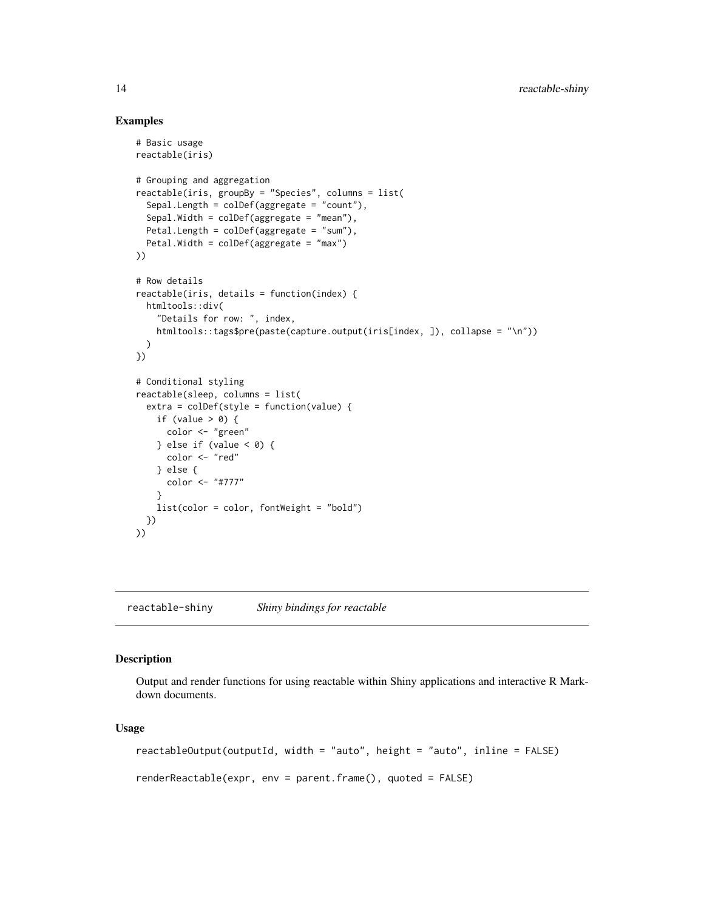#### Examples

```
# Basic usage
reactable(iris)
# Grouping and aggregation
reactable(iris, groupBy = "Species", columns = list(
  Sepal.Length = colDef(aggregate = "count"),
  Sepal.Width = colDef(aggregate = "mean"),
  Petal.Length = colDef(aggregate = "sum"),
  Petal.Width = colDef(aggregate = "max")
))
# Row details
reactable(iris, details = function(index) {
 htmltools::div(
    "Details for row: ", index,
   htmltools::tags$pre(paste(capture.output(iris[index, ]), collapse = "\n"))
 )
})
# Conditional styling
reactable(sleep, columns = list(
  extra = colDef(style = function(value) {
    if (value > 0) {
      color <- "green"
    } else if (value < 0) {
      color <- "red"
    } else {
     color <- "#777"
   }
   list(color = color, fontWeight = "bold")
  })
))
```
reactable-shiny *Shiny bindings for reactable*

# <span id="page-13-1"></span>Description

Output and render functions for using reactable within Shiny applications and interactive R Markdown documents.

```
reactableOutput(outputId, width = "auto", height = "auto", inline = FALSE)
renderReactable(expr, env = parent.frame(), quoted = FALSE)
```
<span id="page-13-0"></span>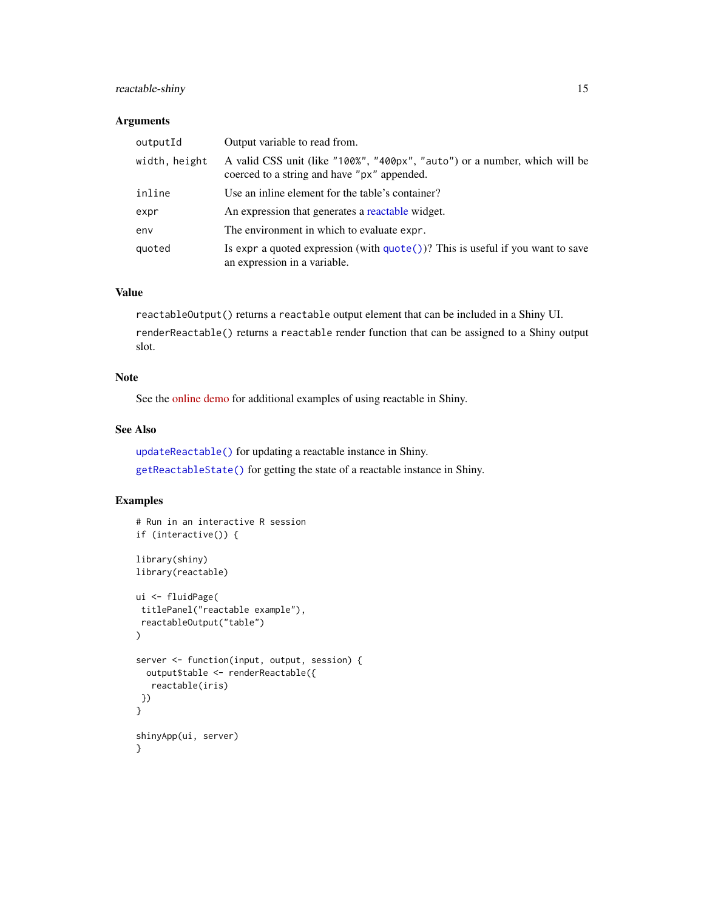# <span id="page-14-0"></span>reactable-shiny 15

#### Arguments

| outputId      | Output variable to read from.                                                                                             |
|---------------|---------------------------------------------------------------------------------------------------------------------------|
| width, height | A valid CSS unit (like "100%", "400px", "auto") or a number, which will be<br>coerced to a string and have "px" appended. |
| inline        | Use an inline element for the table's container?                                                                          |
| expr          | An expression that generates a reactable widget.                                                                          |
| env           | The environment in which to evaluate expr.                                                                                |
| quoted        | Is expr a quoted expression (with $\text{quote}()$ )? This is useful if you want to save<br>an expression in a variable.  |

#### Value

reactableOutput() returns a reactable output element that can be included in a Shiny UI.

renderReactable() returns a reactable render function that can be assigned to a Shiny output slot.

# Note

See the [online demo](https://glin.github.io/reactable/articles/shiny-demo.html) for additional examples of using reactable in Shiny.

# See Also

[updateReactable\(\)](#page-20-1) for updating a reactable instance in Shiny.

[getReactableState\(\)](#page-7-1) for getting the state of a reactable instance in Shiny.

```
# Run in an interactive R session
if (interactive()) {
library(shiny)
library(reactable)
ui <- fluidPage(
titlePanel("reactable example"),
reactableOutput("table")
\mathcal{L}server <- function(input, output, session) {
  output$table <- renderReactable({
  reactable(iris)
})
}
shinyApp(ui, server)
}
```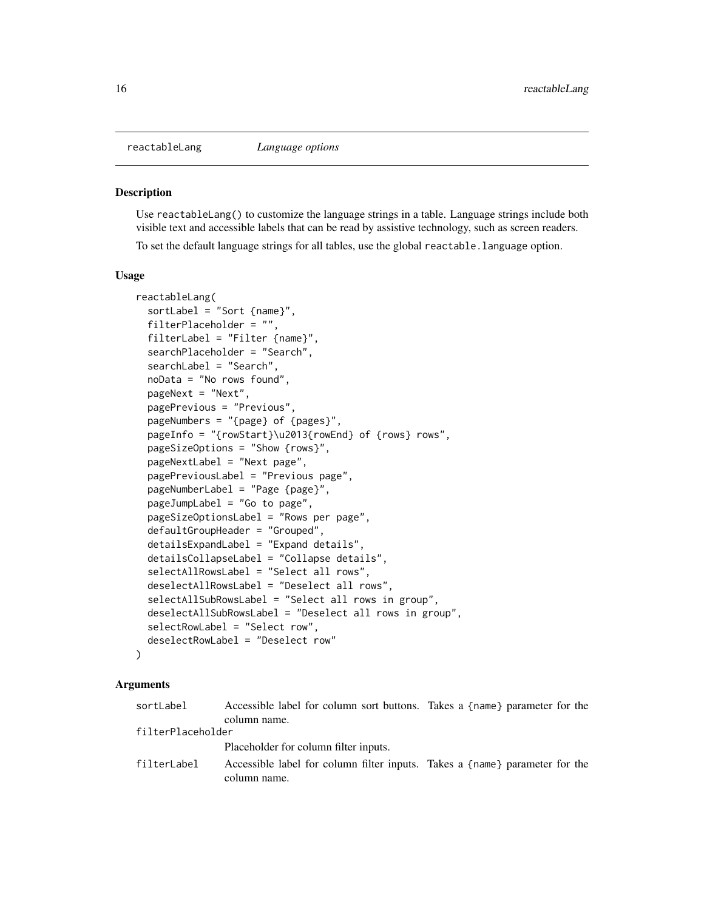<span id="page-15-1"></span><span id="page-15-0"></span>

#### Description

Use reactableLang() to customize the language strings in a table. Language strings include both visible text and accessible labels that can be read by assistive technology, such as screen readers. To set the default language strings for all tables, use the global reactable.language option.

#### Usage

```
reactableLang(
  sortLabel = "Sort {name}",
  filterPlaceholder = "",
  filterLabel = "Filter {name}",
  searchPlaceholder = "Search",
  searchLabel = "Search",
  noData = "No rows found",
  pageNext = "Next",
  pagePrevious = "Previous",
  pageNumbers = "{page} of {pages}",
  pageInfo = "{rowStart}\u2013{rowEnd} of {rows} rows",
  pageSizeOptions = "Show {rows}",
  pageNextLabel = "Next page",
  pagePreviousLabel = "Previous page",
  pageNumberLabel = "Page {page}",
  pageJumpLabel = "Go to page",
  pageSizeOptionsLabel = "Rows per page",
  defaultGroupHeader = "Grouped",
  detailsExpandLabel = "Expand details",
  detailsCollapseLabel = "Collapse details",
  selectAllRowsLabel = "Select all rows",
  deselectAllRowsLabel = "Deselect all rows",
  selectAllSubRowsLabel = "Select all rows in group",
  deselectAllSubRowsLabel = "Deselect all rows in group",
  selectRowLabel = "Select row",
  deselectRowLabel = "Deselect row"
)
```
#### Arguments

| sortLabel         | Accessible label for column sort buttons. Takes a {name} parameter for the                  |  |
|-------------------|---------------------------------------------------------------------------------------------|--|
|                   | column name.                                                                                |  |
| filterPlaceholder |                                                                                             |  |
|                   | Placeholder for column filter inputs.                                                       |  |
| filterLabel       | Accessible label for column filter inputs. Takes a {name} parameter for the<br>column name. |  |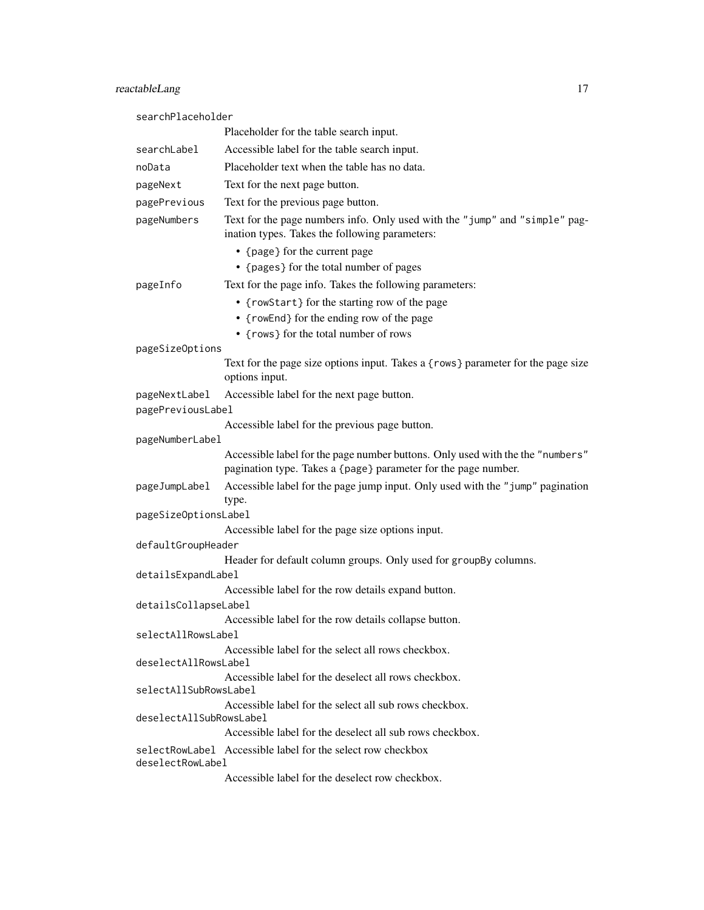| searchPlaceholder                                                               |                                                                                                                                                  |  |
|---------------------------------------------------------------------------------|--------------------------------------------------------------------------------------------------------------------------------------------------|--|
|                                                                                 | Placeholder for the table search input.                                                                                                          |  |
| searchLabel                                                                     | Accessible label for the table search input.                                                                                                     |  |
| noData                                                                          | Placeholder text when the table has no data.                                                                                                     |  |
| pageNext                                                                        | Text for the next page button.                                                                                                                   |  |
| pagePrevious                                                                    | Text for the previous page button.                                                                                                               |  |
| pageNumbers                                                                     | Text for the page numbers info. Only used with the "jump" and "simple" pag-<br>ination types. Takes the following parameters:                    |  |
|                                                                                 | • {page} for the current page                                                                                                                    |  |
|                                                                                 | • {pages} for the total number of pages                                                                                                          |  |
| pageInfo                                                                        | Text for the page info. Takes the following parameters:                                                                                          |  |
|                                                                                 | • {rowStart} for the starting row of the page<br>• {rowEnd} for the ending row of the page                                                       |  |
|                                                                                 | • {rows} for the total number of rows                                                                                                            |  |
| pageSizeOptions                                                                 |                                                                                                                                                  |  |
|                                                                                 | Text for the page size options input. Takes a {rows} parameter for the page size<br>options input.                                               |  |
| pageNextLabel                                                                   | Accessible label for the next page button.                                                                                                       |  |
| pagePreviousLabel                                                               |                                                                                                                                                  |  |
|                                                                                 | Accessible label for the previous page button.                                                                                                   |  |
| pageNumberLabel                                                                 |                                                                                                                                                  |  |
|                                                                                 | Accessible label for the page number buttons. Only used with the the "numbers"<br>pagination type. Takes a {page} parameter for the page number. |  |
| pageJumpLabel                                                                   | Accessible label for the page jump input. Only used with the "jump" pagination<br>type.                                                          |  |
| pageSizeOptionsLabel                                                            |                                                                                                                                                  |  |
|                                                                                 | Accessible label for the page size options input.                                                                                                |  |
| defaultGroupHeader                                                              |                                                                                                                                                  |  |
| detailsExpandLabel                                                              | Header for default column groups. Only used for groupBy columns.                                                                                 |  |
|                                                                                 | Accessible label for the row details expand button.                                                                                              |  |
| detailsCollapseLabel                                                            |                                                                                                                                                  |  |
|                                                                                 | Accessible label for the row details collapse button.                                                                                            |  |
| selectAllRowsLabel                                                              |                                                                                                                                                  |  |
| deselectAllRowsLabel                                                            | Accessible label for the select all rows checkbox.                                                                                               |  |
| selectAllSubRowsLabel                                                           | Accessible label for the deselect all rows checkbox.                                                                                             |  |
| deselectAllSubRowsLabel                                                         | Accessible label for the select all sub rows checkbox.                                                                                           |  |
|                                                                                 | Accessible label for the deselect all sub rows checkbox.                                                                                         |  |
| selectRowLabel Accessible label for the select row checkbox<br>deselectRowLabel |                                                                                                                                                  |  |
|                                                                                 | Accessible label for the deselect row checkbox.                                                                                                  |  |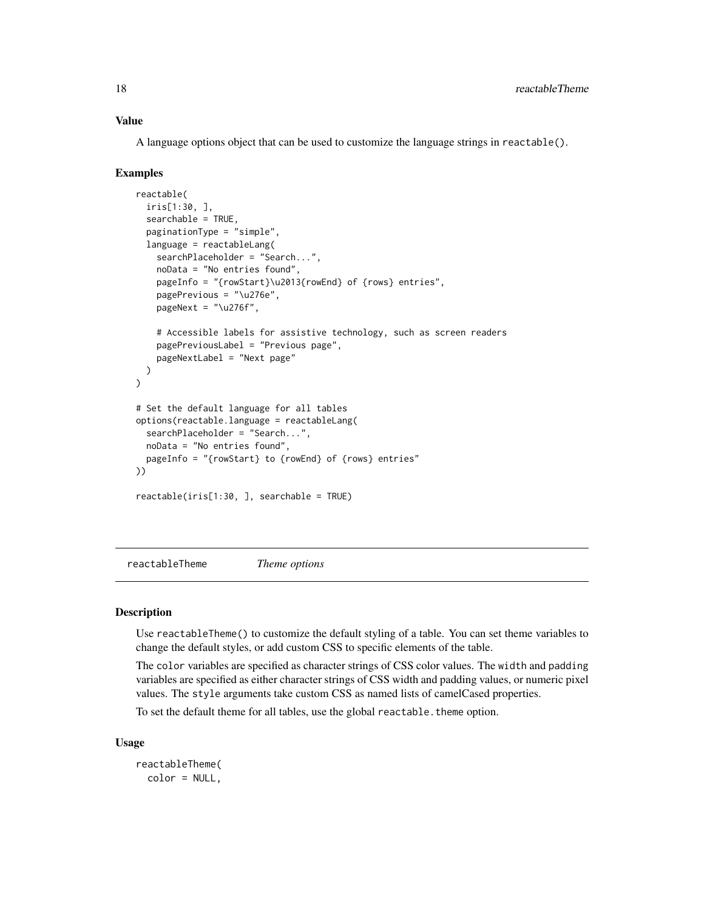# <span id="page-17-0"></span>Value

A language options object that can be used to customize the language strings in reactable().

#### Examples

```
reactable(
  iris[1:30, ],
  searchable = TRUE,
  paginationType = "simple",
  language = reactableLang(
   searchPlaceholder = "Search...",
   noData = "No entries found",
    pageInfo = "{rowStart}\u2013{rowEnd} of {rows} entries",
    pagePrevious = "\u276e",
    pageNext = " \u276f",
    # Accessible labels for assistive technology, such as screen readers
    pagePreviousLabel = "Previous page",
    pageNextLabel = "Next page"
  )
)
# Set the default language for all tables
options(reactable.language = reactableLang(
  searchPlaceholder = "Search...",
  noData = "No entries found",
  pageInfo = "{rowStart} to {rowEnd} of {rows} entries"
))
reactable(iris[1:30, ], searchable = TRUE)
```
<span id="page-17-1"></span>reactableTheme *Theme options*

# Description

Use reactableTheme() to customize the default styling of a table. You can set theme variables to change the default styles, or add custom CSS to specific elements of the table.

The color variables are specified as character strings of CSS color values. The width and padding variables are specified as either character strings of CSS width and padding values, or numeric pixel values. The style arguments take custom CSS as named lists of camelCased properties.

To set the default theme for all tables, use the global reactable. theme option.

```
reactableTheme(
 color = NULL,
```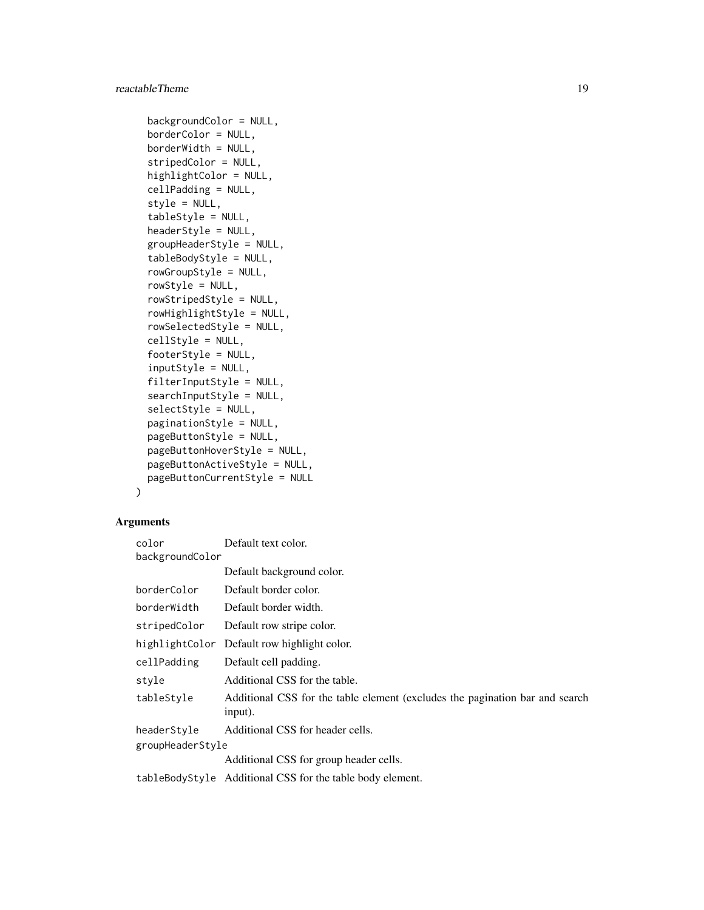```
backgroundColor = NULL,
borderColor = NULL,
borderWidth = NULL,stripedColor = NULL,
highlightColor = NULL,
cellPadding = NULL,
style = NULL,
tableStyle = NULL,
headerStyle = NULL,
groupHeaderStyle = NULL,
tableBodyStyle = NULL,
rowGroupStyle = NULL,
rowStyle = NULL,
rowStripedStyle = NULL,
rowHighlightStyle = NULL,
rowSelectedStyle = NULL,
cellStyle = NULL,
footerStyle = NULL,
inputStyle = NULL,
filterInputStyle = NULL,
searchInputStyle = NULL,
selectStyle = NULL,
paginationStyle = NULL,
pageButtonStyle = NULL,
pageButtonHoverStyle = NULL,
pageButtonActiveStyle = NULL,
pageButtonCurrentStyle = NULL
```
# Arguments

 $\mathcal{L}$ 

| color            | Default text color.                                                                     |  |
|------------------|-----------------------------------------------------------------------------------------|--|
| backgroundColor  |                                                                                         |  |
|                  | Default background color.                                                               |  |
| borderColor      | Default border color.                                                                   |  |
| borderWidth      | Default border width.                                                                   |  |
| stripedColor     | Default row stripe color.                                                               |  |
| highlightColor   | Default row highlight color.                                                            |  |
| cellPadding      | Default cell padding.                                                                   |  |
| style            | Additional CSS for the table.                                                           |  |
| tableStyle       | Additional CSS for the table element (excludes the pagination bar and search<br>input). |  |
| headerStyle      | Additional CSS for header cells.                                                        |  |
| groupHeaderStyle |                                                                                         |  |
|                  | Additional CSS for group header cells.                                                  |  |
|                  | tableBodyStyle Additional CSS for the table body element.                               |  |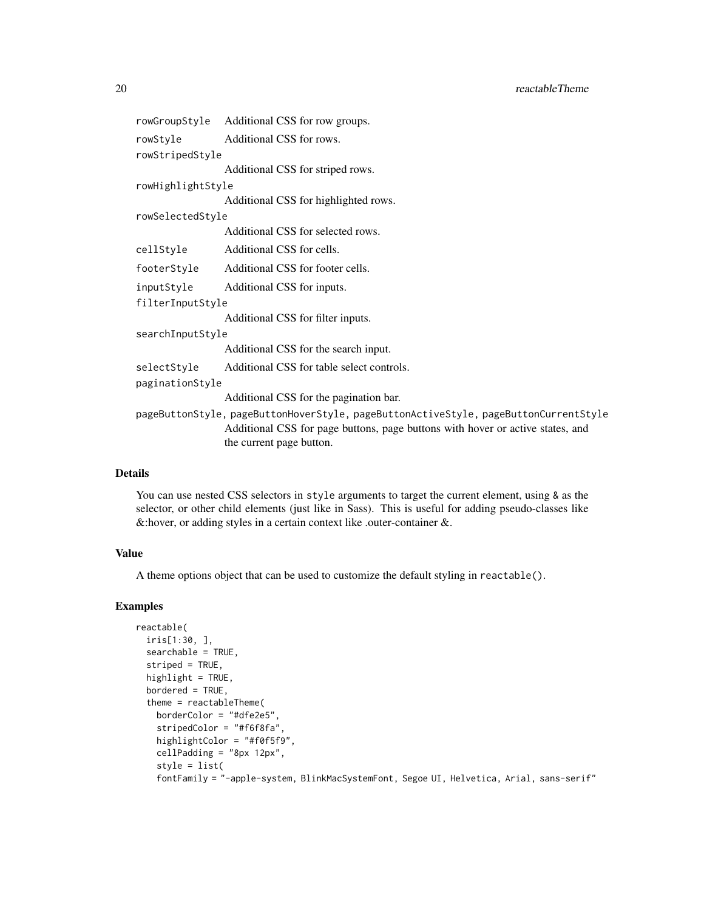```
rowGroupStyle Additional CSS for row groups.
rowStyle Additional CSS for rows.
rowStripedStyle
                 Additional CSS for striped rows.
rowHighlightStyle
                 Additional CSS for highlighted rows.
rowSelectedStyle
                 Additional CSS for selected rows.
cellStyle Additional CSS for cells.
footerStyle Additional CSS for footer cells.
inputStyle Additional CSS for inputs.
filterInputStyle
                 Additional CSS for filter inputs.
searchInputStyle
                 Additional CSS for the search input.
selectStyle Additional CSS for table select controls.
paginationStyle
                 Additional CSS for the pagination bar.
pageButtonStyle, pageButtonHoverStyle, pageButtonActiveStyle, pageButtonCurrentStyle
                 Additional CSS for page buttons, page buttons with hover or active states, and
                 the current page button.
```
#### Details

You can use nested CSS selectors in style arguments to target the current element, using & as the selector, or other child elements (just like in Sass). This is useful for adding pseudo-classes like &:hover, or adding styles in a certain context like .outer-container &.

#### Value

A theme options object that can be used to customize the default styling in reactable().

```
reactable(
 iris[1:30, ],
 searchable = TRUE,
 striped = TRUE,
 highlight = TRUE,
 bordered = TRUE,
 theme = reactableTheme(
   borderColor = "#dfe2e5",
    stripedColor = "#f6f8fa",
   highlightColor = "#f0f5f9",
   cellPadding = "8px 12px",
   style = list(
    fontFamily = "-apple-system, BlinkMacSystemFont, Segoe UI, Helvetica, Arial, sans-serif"
```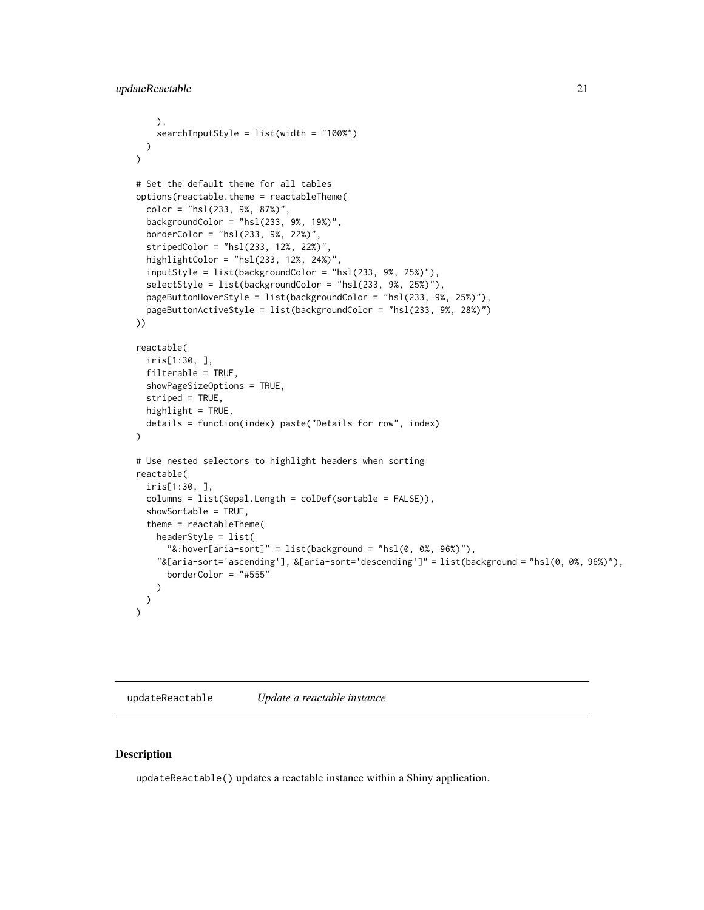```
),
    searchInputStyle = list(width = "100%")
 )
\mathcal{L}# Set the default theme for all tables
options(reactable.theme = reactableTheme(
 color = "hsl(233, 9%, 87%)",
 backgroundColor = "hsl(233, 9%, 19%)",
 borderColor = "hsl(233, 9%, 22%)",
 stripedColor = "hs1(233, 12%, 22%)"highlightColor = "hsl(233, 12%, 24%)",
 inputStyle = list(backgroundColor = "hsl(233, 9%, 25%)"),
 selectStyle = list(backgroundColor = "hsl(233, 9%, 25%)"),
 pageButtonHoverStyle = list(backgroundColor = "hsl(233, 9%, 25%)"),
 pageButtonActiveStyle = list(backgroundColor = "hsl(233, 9%, 28%)")
))
reactable(
 iris[1:30, ],
 filterable = TRUE,
 showPageSizeOptions = TRUE,
 striped = TRUE,
 highlight = TRUE,
 details = function(index) paste("Details for row", index)
)
# Use nested selectors to highlight headers when sorting
reactable(
 iris[1:30, ],
 columns = list(Sepal.Length = colDef(sortable = FALSE)),
 showSortable = TRUE,
 theme = reactableTheme(
   headerStyle = list(
      "&:hover[aria-sort]" = list(background = "hsl(0, 0\%, 96\%)"),
    "&[aria-sort='ascending'], &[aria-sort='descending']" = list(background = "hsl(0, 0%, 96%)"),
      borderColor = "#555"
   )
 )
)
```
<span id="page-20-1"></span>updateReactable *Update a reactable instance*

#### Description

updateReactable() updates a reactable instance within a Shiny application.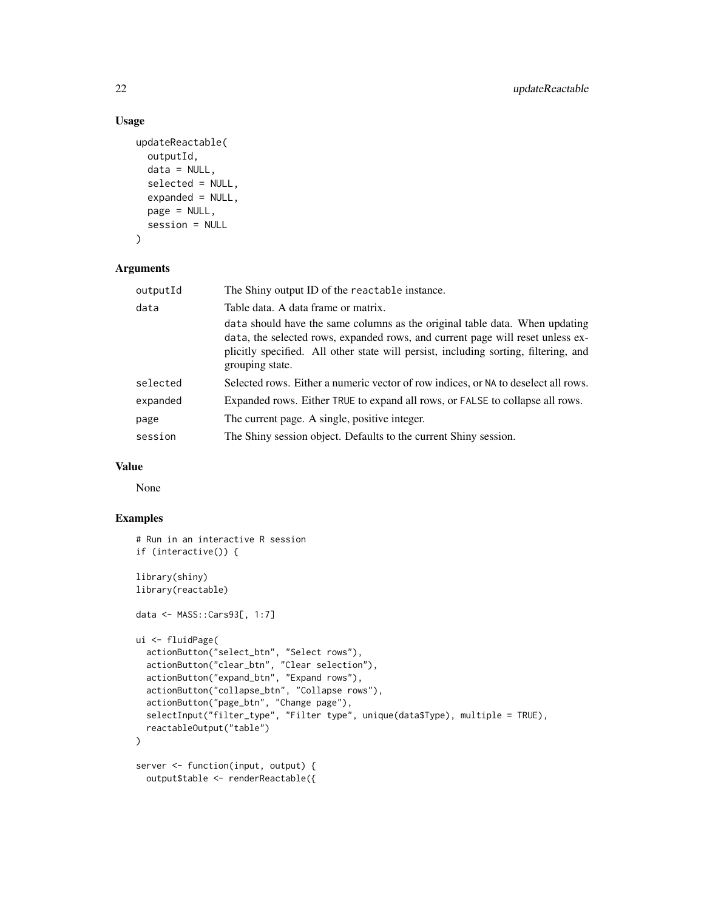# Usage

```
updateReactable(
 outputId,
  data = NULL,
  selected = NULL,
  expanded = NULL,
 page = NULL,
  session = NULL
)
```
#### Arguments

| The Shiny output ID of the reactable instance.                                                                                                                                                                                                                          |
|-------------------------------------------------------------------------------------------------------------------------------------------------------------------------------------------------------------------------------------------------------------------------|
| Table data. A data frame or matrix.                                                                                                                                                                                                                                     |
| data should have the same columns as the original table data. When updating<br>data, the selected rows, expanded rows, and current page will reset unless ex-<br>plicitly specified. All other state will persist, including sorting, filtering, and<br>grouping state. |
| Selected rows. Either a numeric vector of row indices, or NA to deselect all rows.                                                                                                                                                                                      |
| Expanded rows. Either TRUE to expand all rows, or FALSE to collapse all rows.                                                                                                                                                                                           |
| The current page. A single, positive integer.                                                                                                                                                                                                                           |
| The Shiny session object. Defaults to the current Shiny session.                                                                                                                                                                                                        |
|                                                                                                                                                                                                                                                                         |

# Value

None

```
# Run in an interactive R session
if (interactive()) {
library(shiny)
library(reactable)
data <- MASS::Cars93[, 1:7]
ui <- fluidPage(
  actionButton("select_btn", "Select rows"),
  actionButton("clear_btn", "Clear selection"),
  actionButton("expand_btn", "Expand rows"),
  actionButton("collapse_btn", "Collapse rows"),
  actionButton("page_btn", "Change page"),
  selectInput("filter_type", "Filter type", unique(data$Type), multiple = TRUE),
  reactableOutput("table")
\mathcal{L}server <- function(input, output) {
  output$table <- renderReactable({
```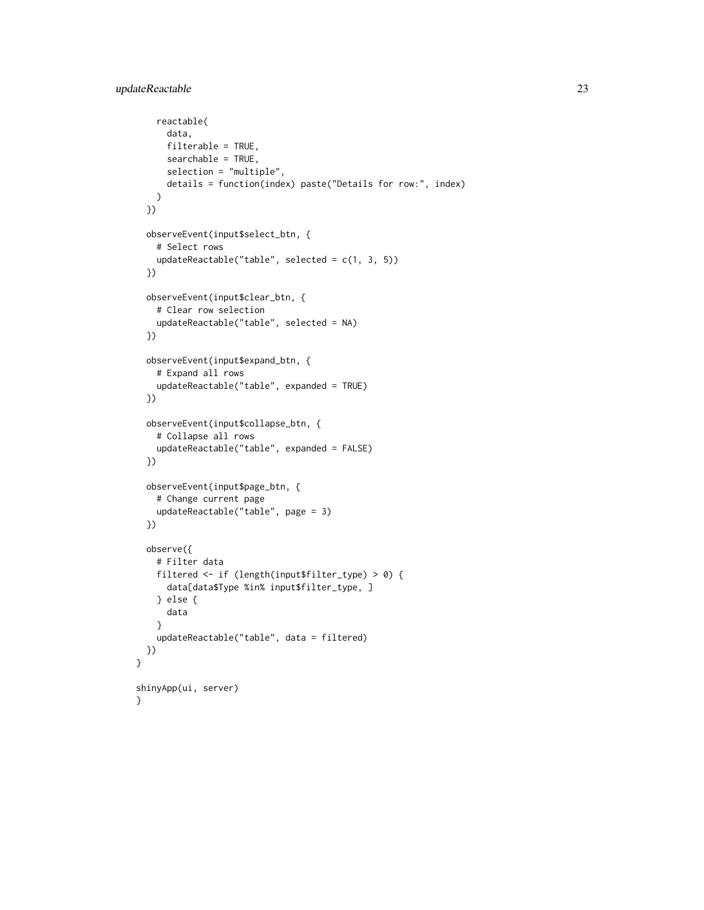}

```
reactable(
     data,
     filterable = TRUE,
     searchable = TRUE,
     selection = "multiple",
     details = function(index) paste("Details for row:", index)
   )
 })
 observeEvent(input$select_btn, {
   # Select rows
   updateReactable("table", selected = c(1, 3, 5))
 })
 observeEvent(input$clear_btn, {
   # Clear row selection
   updateReactable("table", selected = NA)
 })
 observeEvent(input$expand_btn, {
   # Expand all rows
   updateReactable("table", expanded = TRUE)
 })
 observeEvent(input$collapse_btn, {
   # Collapse all rows
   updateReactable("table", expanded = FALSE)
 })
 observeEvent(input$page_btn, {
   # Change current page
   updateReactable("table", page = 3)
 })
 observe({
    # Filter data
   filtered <- if (length(input$filter_type) > 0) {
     data[data$Type %in% input$filter_type, ]
   } else {
     data
   }
   updateReactable("table", data = filtered)
 })
shinyApp(ui, server)
}
```